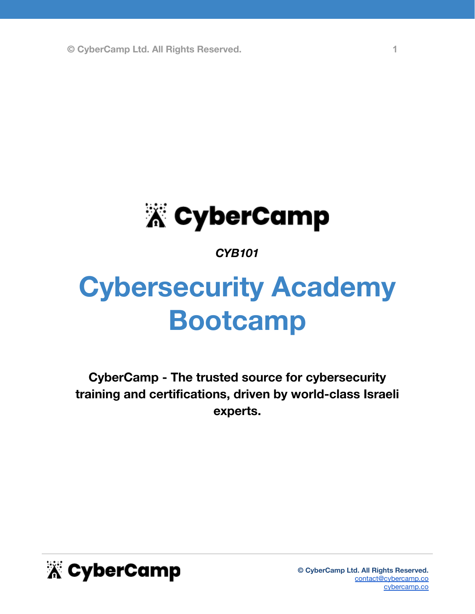

### *CYB101*

# **Cybersecurity Academy Bootcamp**

**CyberCamp - The trusted source for cybersecurity training and certifications, driven by world-class Israeli experts.**

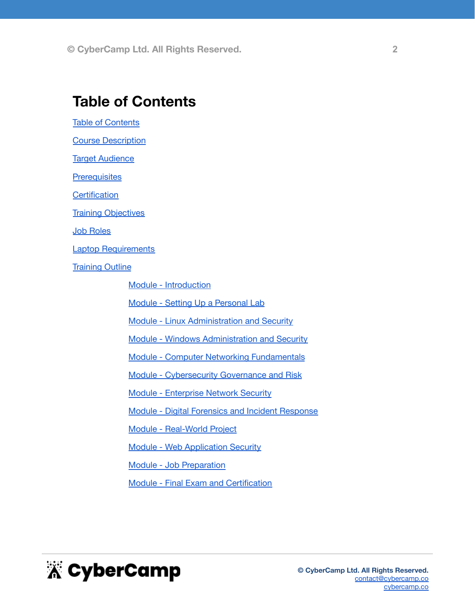### <span id="page-1-0"></span>**Table of Contents**

**Table of [Contents](#page-1-0)** 

**Course [Description](#page-2-0)** 

**Target [Audience](#page-2-1)** 

**[Prerequisites](#page-2-2)** 

**[Certification](#page-2-3)** 

**Training [Objectives](#page-3-0)** 

Job [Roles](#page-3-1)

Laptop [Requirements](#page-3-2)

**[Training](#page-4-0) Outline** 

Module - [Introduction](#page-4-1)

Module - Setting Up a [Personal](#page-4-2) Lab

Module - Linux [Administration](#page-4-3) and Security

Module - Windows [Administration](#page-6-0) and Security

Module - Computer Networking [Fundamentals](#page-6-1)

Module - [Cybersecurity](#page-7-0) Governance and Risk

Module - [Enterprise](#page-7-1) Network Security

Module - Digital Forensics and Incident [Response](#page-8-0)

Module - [Real-World](#page-9-0) Project

Module - Web [Application](#page-9-1) Security

Module - Job [Preparation](#page-10-0)

Module - Final Exam and [Certification](#page-11-0)

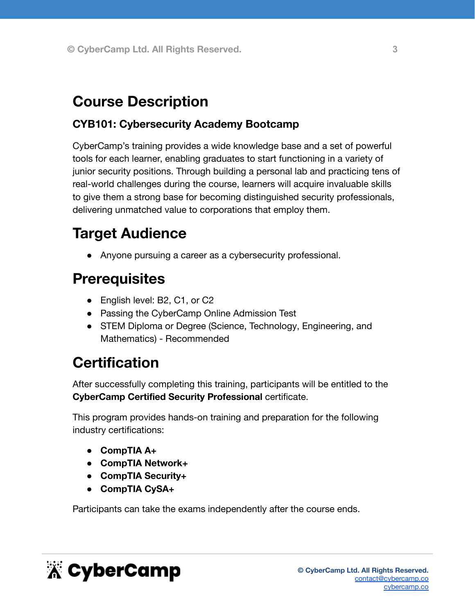# <span id="page-2-0"></span>**Course Description**

### **CYB101: Cybersecurity Academy Bootcamp**

CyberCamp's training provides a wide knowledge base and a set of powerful tools for each learner, enabling graduates to start functioning in a variety of junior security positions. Through building a personal lab and practicing tens of real-world challenges during the course, learners will acquire invaluable skills to give them a strong base for becoming distinguished security professionals, delivering unmatched value to corporations that employ them.

# <span id="page-2-1"></span>**Target Audience**

● Anyone pursuing a career as a cybersecurity professional.

### <span id="page-2-2"></span>**Prerequisites**

- English level: B2, C1, or C2
- Passing the CyberCamp Online Admission Test
- STEM Diploma or Degree (Science, Technology, Engineering, and Mathematics) - Recommended

# <span id="page-2-3"></span>**Certification**

After successfully completing this training, participants will be entitled to the **CyberCamp Certified Security Professional** certificate.

This program provides hands-on training and preparation for the following industry certifications:

- **● CompTIA A+**
- **● CompTIA Network+**
- **● CompTIA Security+**
- **● CompTIA CySA+**

Participants can take the exams independently after the course ends.

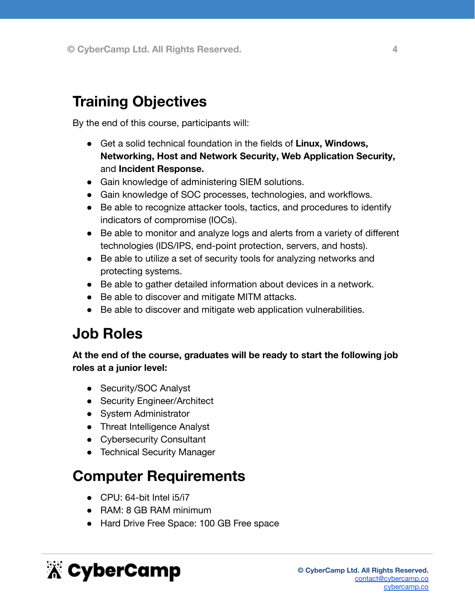# <span id="page-3-0"></span>**Training Objectives**

By the end of this course, participants will:

- Get a solid technical foundation in the fields of **Linux, Windows, Networking, Host and Network Security, Web Application Security,** and **Incident Response.**
- Gain knowledge of administering SIEM solutions.
- Gain knowledge of SOC processes, technologies, and workflows.
- Be able to recognize attacker tools, tactics, and procedures to identify indicators of compromise (IOCs).
- Be able to monitor and analyze logs and alerts from a variety of different technologies (IDS/IPS, end-point protection, servers, and hosts).
- Be able to utilize a set of security tools for analyzing networks and protecting systems.
- Be able to gather detailed information about devices in a network.
- Be able to discover and mitigate MITM attacks.
- Be able to discover and mitigate web application vulnerabilities.

### <span id="page-3-1"></span>**Job Roles**

**At the end of the course, graduates will be ready to start the following job roles at a junior level:**

- Security/SOC Analyst
- Security Engineer/Architect
- System Administrator
- Threat Intelligence Analyst
- Cybersecurity Consultant
- Technical Security Manager

### <span id="page-3-2"></span>**Computer Requirements**

- CPU: 64-bit Intel i5/i7
- RAM: 8 GB RAM minimum
- Hard Drive Free Space: 100 GB Free space

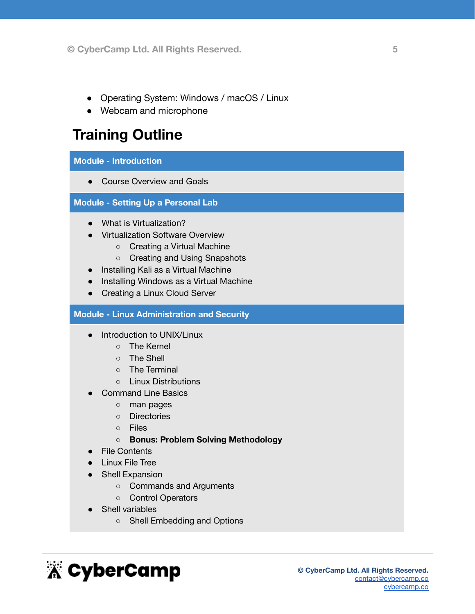- Operating System: Windows / macOS / Linux
- Webcam and microphone

# <span id="page-4-0"></span>**Training Outline**

#### <span id="page-4-1"></span>**Module - Introduction**

• Course Overview and Goals

<span id="page-4-2"></span>**Module - Setting Up a Personal Lab**

- What is Virtualization?
- Virtualization Software Overview
	- Creating a Virtual Machine
	- Creating and Using Snapshots
- Installing Kali as a Virtual Machine
- Installing Windows as a Virtual Machine
- Creating a Linux Cloud Server

#### <span id="page-4-3"></span>**Module - Linux Administration and Security**

- Introduction to UNIX/Linux
	- The Kernel
	- The Shell
	- The Terminal
	- Linux Distributions
- **Command Line Basics** 
	- man pages
	- Directories
	- Files
	- **○ Bonus: Problem Solving Methodology**
- File Contents
- Linux File Tree
- Shell Expansion
	- Commands and Arguments
	- Control Operators
	- **Shell variables** 
		- Shell Embedding and Options

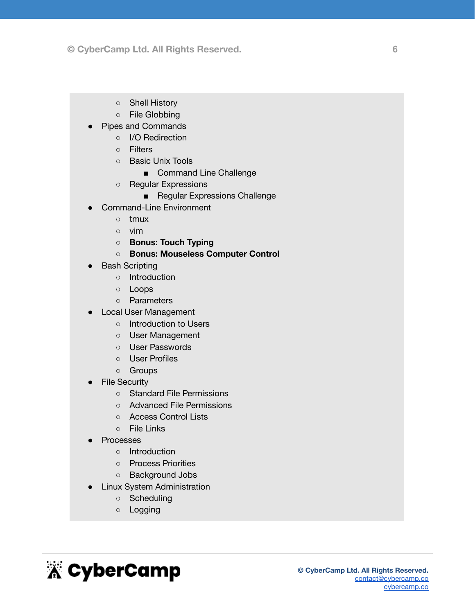- Shell History
- File Globbing
- **Pipes and Commands** 
	- I/O Redirection
		- Filters
		- Basic Unix Tools
			- Command Line Challenge
		- Regular Expressions
			- Regular Expressions Challenge
- Command-Line Environment
	- tmux
	- vim
	- **○ Bonus: Touch Typing**
	- **○ Bonus: Mouseless Computer Control**
- **Bash Scripting** 
	- Introduction
	- Loops
	- Parameters
- **Local User Management** 
	- Introduction to Users
	- User Management
	- User Passwords
	- User Profiles
	- Groups
- **File Security** 
	- Standard File Permissions
	- Advanced File Permissions
	- Access Control Lists
	- File Links
- **Processes** 
	- Introduction
	- Process Priorities
	- Background Jobs
- **Linux System Administration** 
	- Scheduling
	- Logging

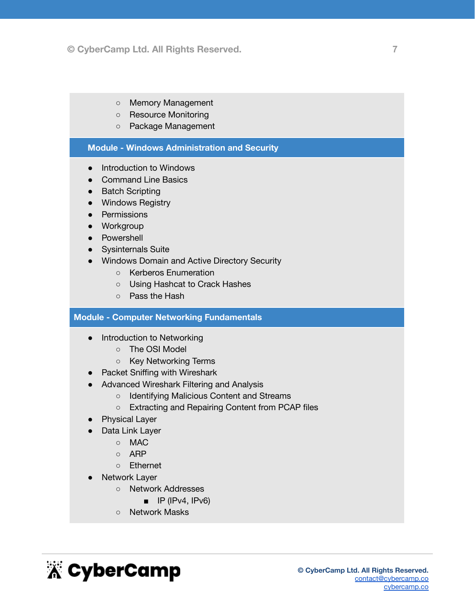- Memory Management
- Resource Monitoring
- Package Management

#### <span id="page-6-0"></span>**Module - Windows Administration and Security**

- Introduction to Windows
- Command Line Basics
- Batch Scripting
- Windows Registry
- Permissions
- Workgroup
- Powershell
- Sysinternals Suite
- Windows Domain and Active Directory Security
	- Kerberos Enumeration
	- Using Hashcat to Crack Hashes
	- Pass the Hash

#### <span id="page-6-1"></span>**Module - Computer Networking Fundamentals**

- Introduction to Networking
	- The OSI Model
	- Key Networking Terms
- Packet Sniffing with Wireshark
- Advanced Wireshark Filtering and Analysis
	- Identifying Malicious Content and Streams
	- Extracting and Repairing Content from PCAP files
- **Physical Layer**
- Data Link Layer
	- MAC
	- ARP
	- Ethernet
- **Network Layer** 
	- Network Addresses
		- $\blacksquare$  IP (IPv4, IPv6)
	- Network Masks

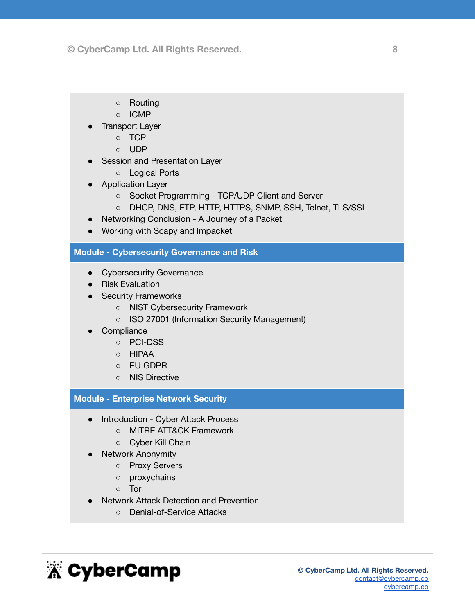- Routing
- ICMP
- **Transport Layer** 
	- TCP
	- UDP
- Session and Presentation Layer
	- Logical Ports
- Application Layer
	- Socket Programming TCP/UDP Client and Server
	- DHCP, DNS, FTP, HTTP, HTTPS, SNMP, SSH, Telnet, TLS/SSL
- Networking Conclusion A Journey of a Packet
- Working with Scapy and Impacket

#### <span id="page-7-0"></span>**Module - Cybersecurity Governance and Risk**

- Cybersecurity Governance
- Risk Evaluation
- Security Frameworks
	- NIST Cybersecurity Framework
	- ISO 27001 (Information Security Management)
- Compliance
	- PCI-DSS
	- HIPAA
	- EU GDPR
	- NIS Directive

#### <span id="page-7-1"></span>**Module - Enterprise Network Security**

- Introduction Cyber Attack Process
	- MITRE ATT&CK Framework
	- Cyber Kill Chain
- **Network Anonymity** 
	- Proxy Servers
	- proxychains
	- Tor
- **Network Attack Detection and Prevention** 
	- Denial-of-Service Attacks

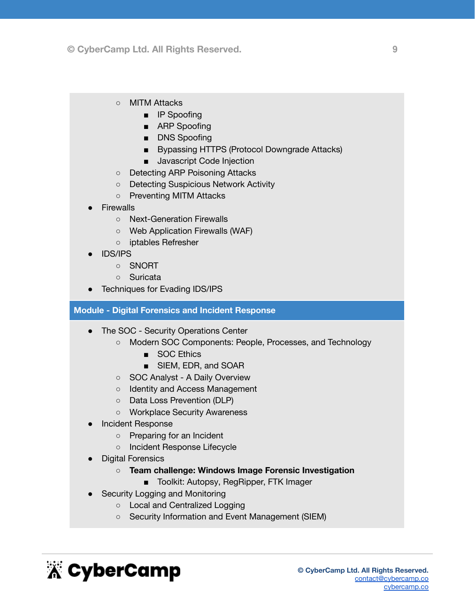- MITM Attacks
	- IP Spoofing
	- ARP Spoofing
	- DNS Spoofing
	- Bypassing HTTPS (Protocol Downgrade Attacks)
	- Javascript Code Injection
- Detecting ARP Poisoning Attacks
- Detecting Suspicious Network Activity
- Preventing MITM Attacks
- **Firewalls** 
	- Next-Generation Firewalls
	- Web Application Firewalls (WAF)
	- iptables Refresher
- IDS/IPS
	- SNORT
	- Suricata
- Techniques for Evading IDS/IPS

#### <span id="page-8-0"></span>**Module - Digital Forensics and Incident Response**

- The SOC Security Operations Center
	- Modern SOC Components: People, Processes, and Technology
		- SOC Ethics
		- SIEM, EDR, and SOAR
	- SOC Analyst A Daily Overview
	- Identity and Access Management
	- Data Loss Prevention (DLP)
	- Workplace Security Awareness
- **Incident Response** 
	- Preparing for an Incident
	- Incident Response Lifecycle
- Digital Forensics
	- **○ Team challenge: Windows Image Forensic Investigation**
		- Toolkit: Autopsy, RegRipper, FTK Imager
- **Security Logging and Monitoring** 
	- Local and Centralized Logging
	- Security Information and Event Management (SIEM)

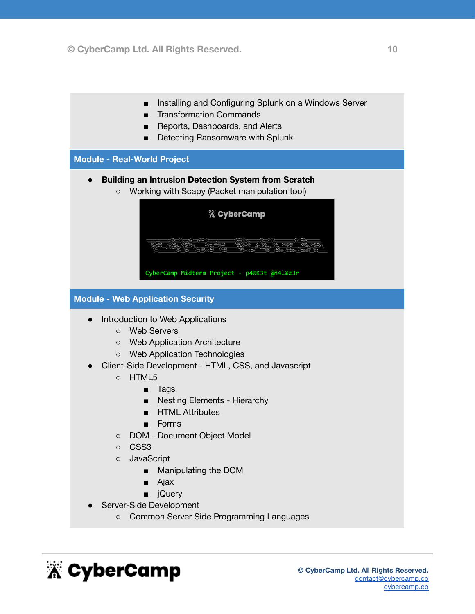- Installing and Configuring Splunk on a Windows Server
- Transformation Commands
- Reports, Dashboards, and Alerts
- Detecting Ransomware with Splunk

<span id="page-9-0"></span>**Module - Real-World Project**

- **● Building an Intrusion Detection System from Scratch**
	- Working with Scapy (Packet manipulation tool)

|            | <b>A</b> CyberCamp                                                                                                                                                                                                                                                                                                                                  |
|------------|-----------------------------------------------------------------------------------------------------------------------------------------------------------------------------------------------------------------------------------------------------------------------------------------------------------------------------------------------------|
| <b>YOU</b> | AW <i>III) K</i> u<br><b>DAY</b><br>S e ci<br>ww<br>$\sim$<br>755733<br>יי<br>immni<br>viiv<br><b>MAY</b><br><b>AAW</b><br><b>AMMOR</b><br>WW<br>$\sim$<br>ノハリ<br><b>COM</b><br>ww<br>$\overline{m}$<br>7110<br><i><b><i>MUUTHIANA</i></b></i><br><i><b>JIIIIIIIIII</b></i><br><b><i>UNIT AN</i></b><br>7553<br>7777<br>VOTI))<br>YO)<br>YO)<br>NO) |
|            | CyberCamp Midterm Project - p40K3t @ñ4l¥z3r                                                                                                                                                                                                                                                                                                         |

<span id="page-9-1"></span>**Module - Web Application Security**

- **●** Introduction to Web Applications
	- Web Servers
	- Web Application Architecture
	- Web Application Technologies
- Client-Side Development HTML, CSS, and Javascript
	- HTML5
		- Tags
		- Nesting Elements Hierarchy
		- HTML Attributes
		- Forms
	- DOM Document Object Model
	- CSS3
	- JavaScript
		- Manipulating the DOM
		- Ajax
		- jQuery
- Server-Side Development
	- Common Server Side Programming Languages

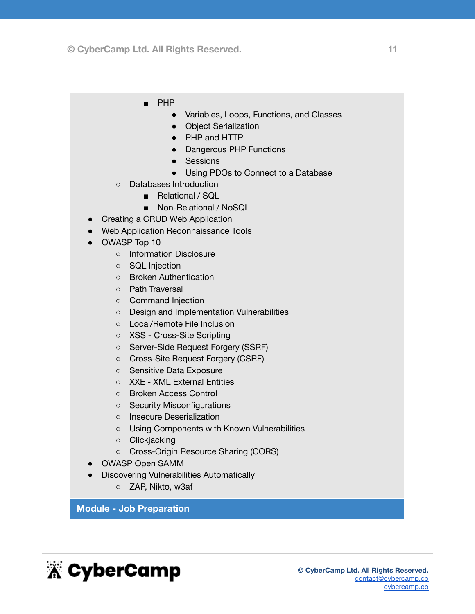- PHP
	- Variables, Loops, Functions, and Classes
	- Object Serialization
	- PHP and HTTP
	- Dangerous PHP Functions
	- Sessions
	- Using PDOs to Connect to a Database
- Databases Introduction
	- Relational / SQL
	- Non-Relational / NoSQL
- Creating a CRUD Web Application
- Web Application Reconnaissance Tools
- OWASP Top 10
	- o Information Disclosure
	- SQL Injection
	- Broken Authentication
	- Path Traversal
	- Command Injection
	- Design and Implementation Vulnerabilities
	- Local/Remote File Inclusion
	- XSS Cross-Site Scripting
	- Server-Side Request Forgery (SSRF)
	- Cross-Site Request Forgery (CSRF)
	- Sensitive Data Exposure
	- XXE XML External Entities
	- Broken Access Control
	- Security Misconfigurations
	- Insecure Deserialization
	- Using Components with Known Vulnerabilities
	- Clickjacking
	- Cross-Origin Resource Sharing (CORS)
- OWASP Open SAMM
- Discovering Vulnerabilities Automatically
	- ZAP, Nikto, w3af

#### <span id="page-10-0"></span>**Module - Job Preparation**